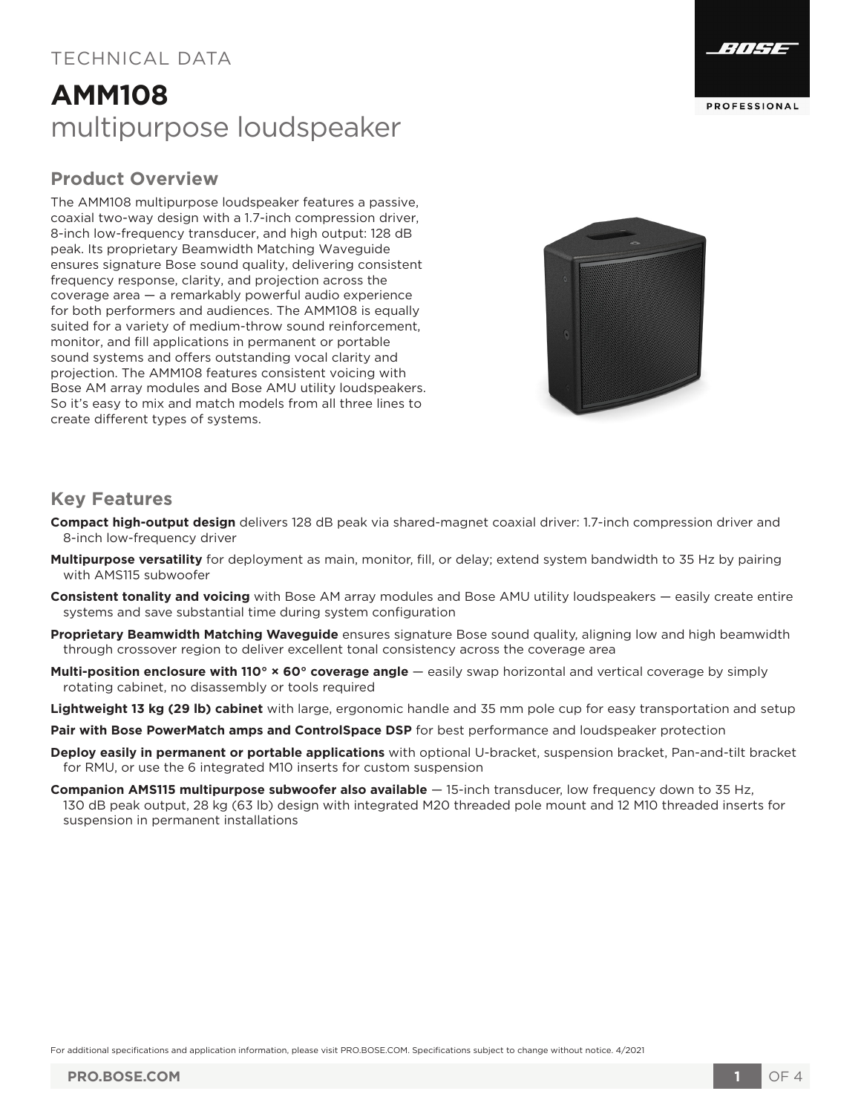### TECHNICAL DATA

## **AMM108** multipurpose loudspeaker

#### **Product Overview**

The AMM108 multipurpose loudspeaker features a passive, coaxial two-way design with a 1.7-inch compression driver, 8-inch low-frequency transducer, and high output: 128 dB peak. Its proprietary Beamwidth Matching Waveguide ensures signature Bose sound quality, delivering consistent frequency response, clarity, and projection across the coverage area — a remarkably powerful audio experience for both performers and audiences. The AMM108 is equally suited for a variety of medium-throw sound reinforcement, monitor, and fill applications in permanent or portable sound systems and offers outstanding vocal clarity and projection. The AMM108 features consistent voicing with Bose AM array modules and Bose AMU utility loudspeakers. So it's easy to mix and match models from all three lines to create different types of systems.





#### **Key Features**

- **Compact high-output design** delivers 128 dB peak via shared-magnet coaxial driver: 1.7-inch compression driver and 8-inch low-frequency driver
- **Multipurpose versatility** for deployment as main, monitor, fill, or delay; extend system bandwidth to 35 Hz by pairing with AMS115 subwoofer
- **Consistent tonality and voicing** with Bose AM array modules and Bose AMU utility loudspeakers easily create entire systems and save substantial time during system configuration
- **Proprietary Beamwidth Matching Waveguide** ensures signature Bose sound quality, aligning low and high beamwidth through crossover region to deliver excellent tonal consistency across the coverage area
- **Multi-position enclosure with 110° × 60° coverage angle** easily swap horizontal and vertical coverage by simply rotating cabinet, no disassembly or tools required
- **Lightweight 13 kg (29 lb) cabinet** with large, ergonomic handle and 35 mm pole cup for easy transportation and setup
- **Pair with Bose PowerMatch amps and ControlSpace DSP** for best performance and loudspeaker protection
- **Deploy easily in permanent or portable applications** with optional U-bracket, suspension bracket, Pan-and-tilt bracket for RMU, or use the 6 integrated M10 inserts for custom suspension
- **Companion AMS115 multipurpose subwoofer also available** 15-inch transducer, low frequency down to 35 Hz, 130 dB peak output, 28 kg (63 lb) design with integrated M20 threaded pole mount and 12 M10 threaded inserts for suspension in permanent installations

For additional specifications and application information, please visit PRO.BOSE.COM. Specifications subject to change without notice. 4/2021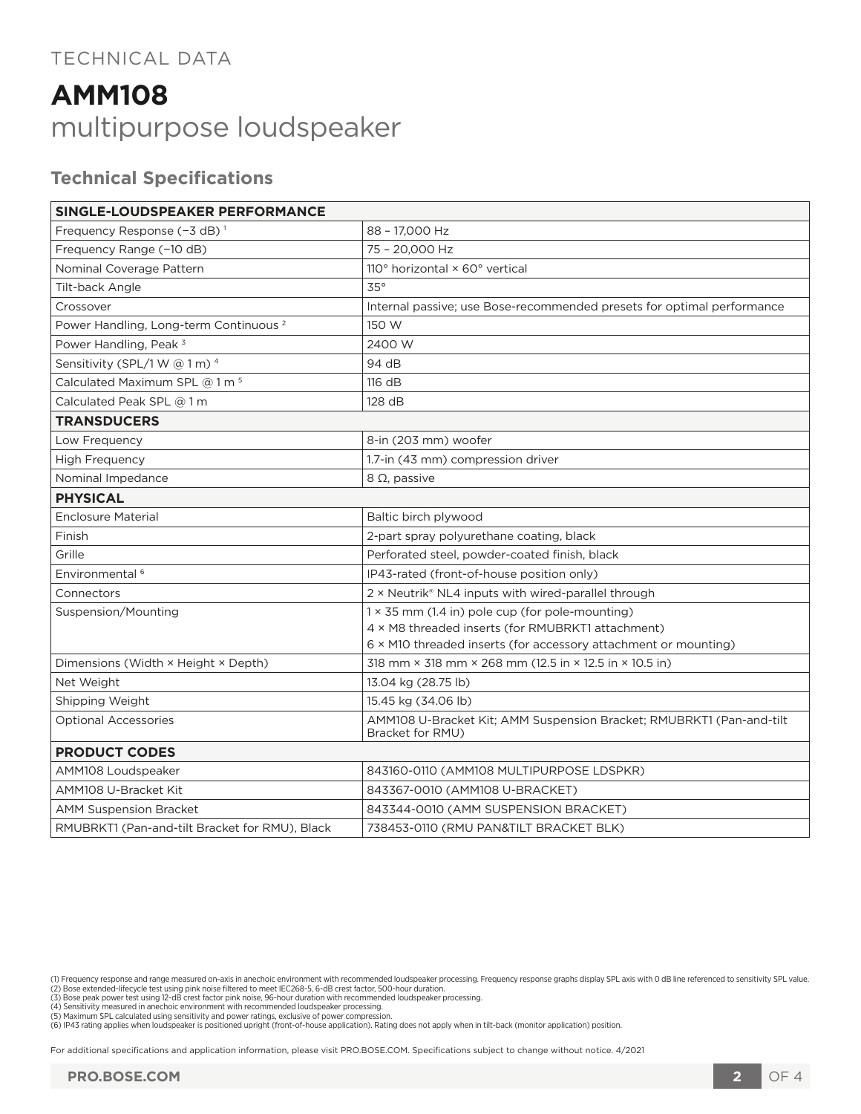### TECHNICAL DATA

# **AMM108** multipurpose loudspeaker

#### **Technical Specifications**

| SINGLE-LOUDSPEAKER PERFORMANCE                    |                                                                                          |
|---------------------------------------------------|------------------------------------------------------------------------------------------|
| Frequency Response (-3 dB) <sup>1</sup>           | 88 - 17,000 Hz                                                                           |
| Frequency Range (-10 dB)                          | 75 - 20,000 Hz                                                                           |
| Nominal Coverage Pattern                          | 110 $^{\circ}$ horizontal $\times$ 60 $^{\circ}$ vertical                                |
| Tilt-back Angle                                   | 35°                                                                                      |
| Crossover                                         | Internal passive; use Bose-recommended presets for optimal performance                   |
| Power Handling, Long-term Continuous <sup>2</sup> | 150 W                                                                                    |
| Power Handling, Peak <sup>3</sup>                 | 2400 W                                                                                   |
| Sensitivity (SPL/1 W $@1m$ ) <sup>4</sup>         | 94 dB                                                                                    |
| Calculated Maximum SPL $@1m5$                     | 116 dB                                                                                   |
| Calculated Peak SPL @ 1 m                         | 128 dB                                                                                   |
| <b>TRANSDUCERS</b>                                |                                                                                          |
| Low Frequency                                     | 8-in (203 mm) woofer                                                                     |
| <b>High Frequency</b>                             | 1.7-in (43 mm) compression driver                                                        |
| Nominal Impedance                                 | $8 \Omega$ , passive                                                                     |
| <b>PHYSICAL</b>                                   |                                                                                          |
| <b>Enclosure Material</b>                         | Baltic birch plywood                                                                     |
| Finish                                            | 2-part spray polyurethane coating, black                                                 |
| Grille                                            | Perforated steel, powder-coated finish, black                                            |
| Environmental <sup>6</sup>                        | IP43-rated (front-of-house position only)                                                |
| Connectors                                        | 2 × Neutrik® NL4 inputs with wired-parallel through                                      |
| Suspension/Mounting                               | $1 \times 35$ mm (1.4 in) pole cup (for pole-mounting)                                   |
|                                                   | 4 x M8 threaded inserts (for RMUBRKT1 attachment)                                        |
|                                                   | 6 × M10 threaded inserts (for accessory attachment or mounting)                          |
| Dimensions (Width × Height × Depth)               | 318 mm × 318 mm × 268 mm (12.5 in × 12.5 in × 10.5 in)                                   |
| Net Weight                                        | 13.04 kg (28.75 lb)                                                                      |
| Shipping Weight                                   | 15.45 kg (34.06 lb)                                                                      |
| <b>Optional Accessories</b>                       | AMM108 U-Bracket Kit; AMM Suspension Bracket; RMUBRKT1 (Pan-and-tilt<br>Bracket for RMU) |
| <b>PRODUCT CODES</b>                              |                                                                                          |
| AMM108 Loudspeaker                                | 843160-0110 (AMM108 MULTIPURPOSE LDSPKR)                                                 |
| AMM108 U-Bracket Kit                              | 843367-0010 (AMM108 U-BRACKET)                                                           |
| <b>AMM Suspension Bracket</b>                     | 843344-0010 (AMM SUSPENSION BRACKET)                                                     |
| RMUBRKT1 (Pan-and-tilt Bracket for RMU), Black    | 738453-0110 (RMU PAN&TILT BRACKET BLK)                                                   |

For additional specifications and application information, please visit PRO.BOSE.COM. Specifications subject to change without notice. 4/2021

<sup>(1)</sup> Frequency response and range measured on-axis in anechoic environment with recommended loudspeaker processing. Frequency response graphs display SPL axis with 0 dB line referenced to sensitivity SPL value.<br>(2) Bose ext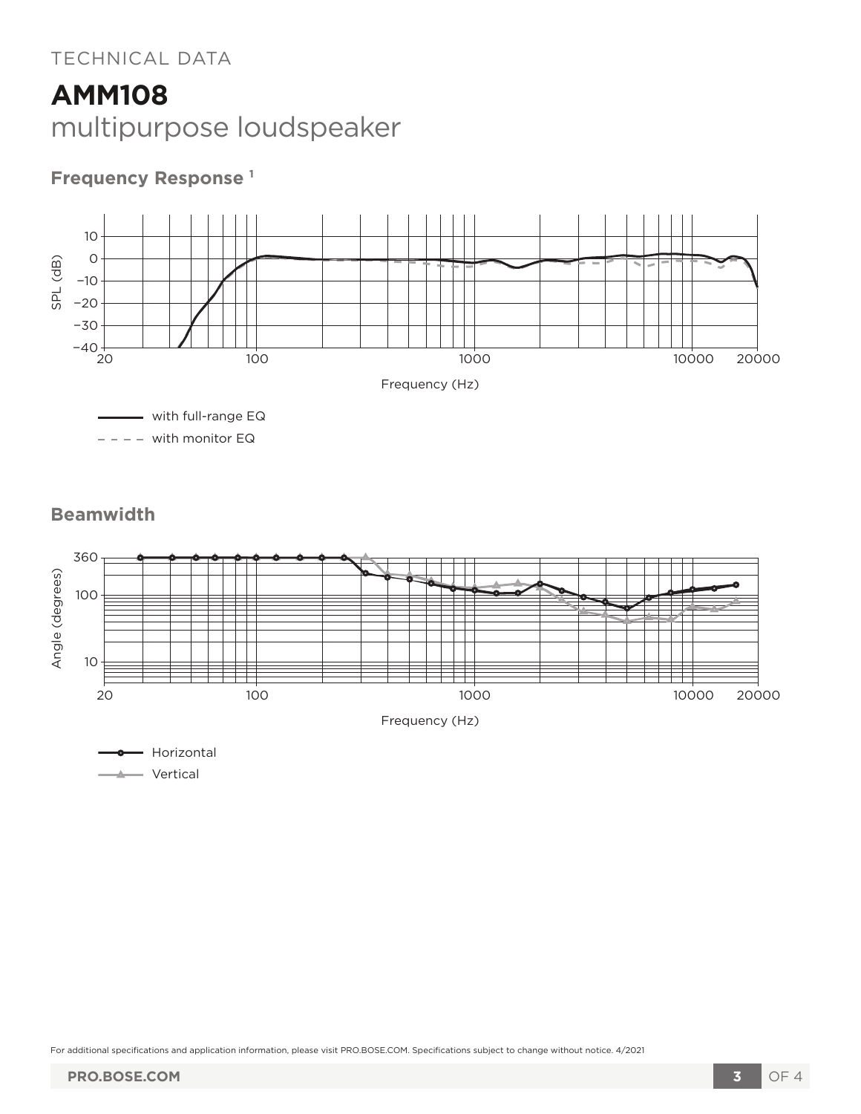### TECHNICAL DATA

## **AMM108** multipurpose loudspeaker

## **Frequency Response 1**







For additional specifications and application information, please visit PRO.BOSE.COM. Specifications subject to change without notice. 4/2021